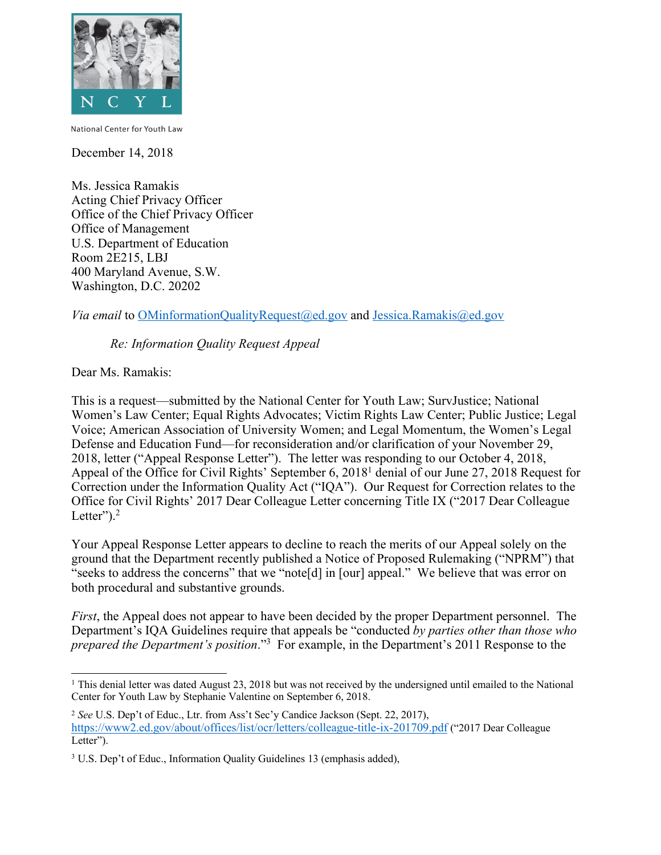

National Center for Youth Law

December 14, 2018

Ms. Jessica Ramakis Acting Chief Privacy Officer Office of the Chief Privacy Officer Office of Management U.S. Department of Education Room 2E215, LBJ 400 Maryland Avenue, S.W. Washington, D.C. 20202

*Via email* to OMinformationQualityRequest@ed.gov and Jessica.Ramakis@ed.gov

*Re: Information Quality Request Appeal* 

Dear Ms. Ramakis:

 This is a request—submitted by the National Center for Youth Law; SurvJustice; National Women's Law Center; Equal Rights Advocates; Victim Rights Law Center; Public Justice; Legal 2018, letter ("Appeal Response Letter"). The letter was responding to our October 4, 2018, Appeal of the Office for Civil Rights' September 6, 2018<sup>1</sup> denial of our June 27, 2018 Request for Correction under the Information Quality Act ("IQA"). Our Request for Correction relates to the Voice; American Association of University Women; and Legal Momentum, the Women's Legal Defense and Education Fund—for reconsideration and/or clarification of your November 29, Office for Civil Rights' 2017 Dear Colleague Letter concerning Title IX ("2017 Dear Colleague Letter" $)$ .<sup>2</sup>

 Your Appeal Response Letter appears to decline to reach the merits of our Appeal solely on the "seeks to address the concerns" that we "note[d] in [our] appeal." We believe that was error on ground that the Department recently published a Notice of Proposed Rulemaking ("NPRM") that both procedural and substantive grounds.

 *First*, the Appeal does not appear to have been decided by the proper Department personnel. The *prepared the Department's position*."3 For example, in the Department's 2011 Response to the Department's IQA Guidelines require that appeals be "conducted *by parties other than those who* 

<sup>-</sup><sup>1</sup> This denial letter was dated August 23, 2018 but was not received by the undersigned until emailed to the National Center for Youth Law by Stephanie Valentine on September 6, 2018.

 <sup>2</sup>*See* U.S. Dep't of Educ., Ltr. from Ass't Sec'y Candice Jackson (Sept. 22, 2017), https://www2.ed.gov/about/offices/list/ocr/letters/colleague-title-ix-201709.pdf ("2017 Dear Colleague Letter").

<sup>&</sup>lt;sup>3</sup> U.S. Dep't of Educ., Information Quality Guidelines 13 (emphasis added),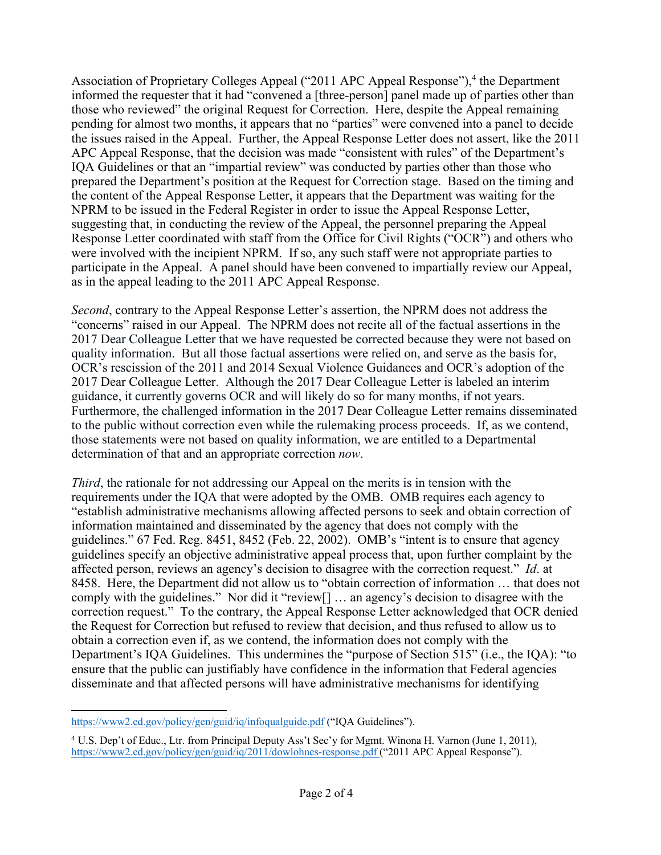those who reviewed" the original Request for Correction. Here, despite the Appeal remaining the issues raised in the Appeal. Further, the Appeal Response Letter does not assert, like the 2011 Response Letter coordinated with staff from the Office for Civil Rights ("OCR") and others who were involved with the incipient NPRM. If so, any such staff were not appropriate parties to as in the appeal leading to the 2011 APC Appeal Response. Association of Proprietary Colleges Appeal ("2011 APC Appeal Response"),<sup>4</sup> the Department informed the requester that it had "convened a [three-person] panel made up of parties other than pending for almost two months, it appears that no "parties" were convened into a panel to decide APC Appeal Response, that the decision was made "consistent with rules" of the Department's IQA Guidelines or that an "impartial review" was conducted by parties other than those who prepared the Department's position at the Request for Correction stage. Based on the timing and the content of the Appeal Response Letter, it appears that the Department was waiting for the NPRM to be issued in the Federal Register in order to issue the Appeal Response Letter, suggesting that, in conducting the review of the Appeal, the personnel preparing the Appeal participate in the Appeal. A panel should have been convened to impartially review our Appeal,

 "concerns" raised in our Appeal. The NPRM does not recite all of the factual assertions in the quality information. But all those factual assertions were relied on, and serve as the basis for, 2017 Dear Colleague Letter. Although the 2017 Dear Colleague Letter is labeled an interim *Second*, contrary to the Appeal Response Letter's assertion, the NPRM does not address the 2017 Dear Colleague Letter that we have requested be corrected because they were not based on OCR's rescission of the 2011 and 2014 Sexual Violence Guidances and OCR's adoption of the guidance, it currently governs OCR and will likely do so for many months, if not years. Furthermore, the challenged information in the 2017 Dear Colleague Letter remains disseminated to the public without correction even while the rulemaking process proceeds. If, as we contend, those statements were not based on quality information, we are entitled to a Departmental determination of that and an appropriate correction *now*.

 information maintained and disseminated by the agency that does not comply with the affected person, reviews an agency's decision to disagree with the correction request." *Id*. at *Third*, the rationale for not addressing our Appeal on the merits is in tension with the requirements under the IQA that were adopted by the OMB. OMB requires each agency to "establish administrative mechanisms allowing affected persons to seek and obtain correction of guidelines." 67 Fed. Reg. 8451, 8452 (Feb. 22, 2002). OMB's "intent is to ensure that agency guidelines specify an objective administrative appeal process that, upon further complaint by the 8458. Here, the Department did not allow us to "obtain correction of information … that does not comply with the guidelines." Nor did it "review[] … an agency's decision to disagree with the correction request." To the contrary, the Appeal Response Letter acknowledged that OCR denied the Request for Correction but refused to review that decision, and thus refused to allow us to obtain a correction even if, as we contend, the information does not comply with the Department's IQA Guidelines. This undermines the "purpose of Section 515" (i.e., the IQA): "to ensure that the public can justifiably have confidence in the information that Federal agencies disseminate and that affected persons will have administrative mechanisms for identifying

<sup>1</sup> https://www2.ed.gov/policy/gen/guid/iq/infoqualguide.pdf ("IQA Guidelines").

 <sup>4</sup> U.S. Dep't of Educ., Ltr. from Principal Deputy Ass't Sec'y for Mgmt. Winona H. Varnon (June 1, 2011), https://www2.ed.gov/policy/gen/guid/iq/2011/dowlohnes-response.pdf ("2011 APC Appeal Response").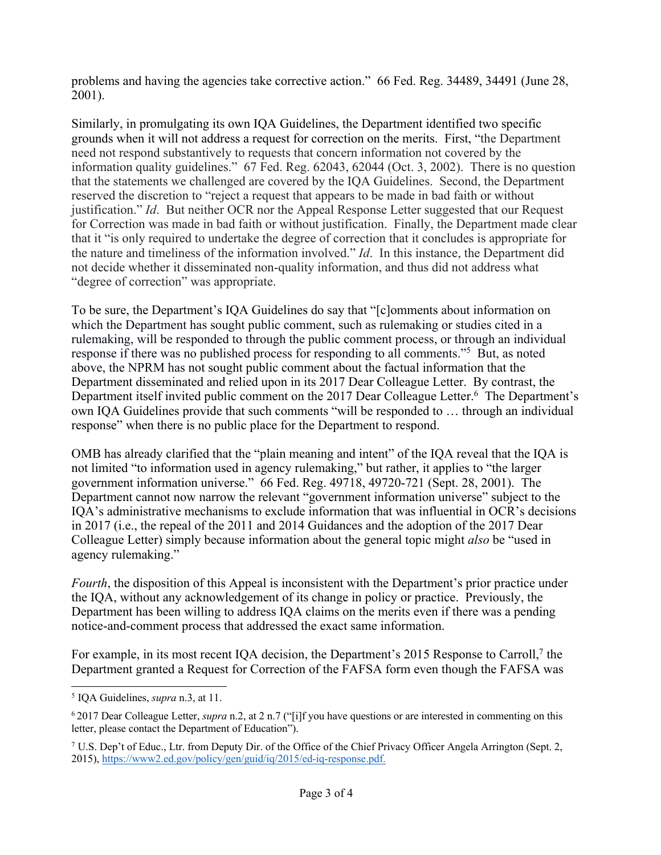problems and having the agencies take corrective action." 66 Fed. Reg. 34489, 34491 (June 28, 2001).

 grounds when it will not address a request for correction on the merits. First, "the Department the nature and timeliness of the information involved." *Id*. In this instance, the Department did Similarly, in promulgating its own IQA Guidelines, the Department identified two specific need not respond substantively to requests that concern information not covered by the information quality guidelines." 67 Fed. Reg. 62043, 62044 (Oct. 3, 2002). There is no question that the statements we challenged are covered by the IQA Guidelines. Second, the Department reserved the discretion to "reject a request that appears to be made in bad faith or without justification." *Id*. But neither OCR nor the Appeal Response Letter suggested that our Request for Correction was made in bad faith or without justification. Finally, the Department made clear that it "is only required to undertake the degree of correction that it concludes is appropriate for not decide whether it disseminated non-quality information, and thus did not address what "degree of correction" was appropriate.

response if there was no published process for responding to all comments."<sup>5</sup> But, as noted above, the NPRM has not sought public comment about the factual information that the Department disseminated and relied upon in its 2017 Dear Colleague Letter. By contrast, the Department itself invited public comment on the 2017 Dear Colleague Letter.<sup>6</sup> The Department's response" when there is no public place for the Department to respond. To be sure, the Department's IQA Guidelines do say that "[c]omments about information on which the Department has sought public comment, such as rulemaking or studies cited in a rulemaking, will be responded to through the public comment process, or through an individual own IQA Guidelines provide that such comments "will be responded to … through an individual

 government information universe." 66 Fed. Reg. 49718, 49720-721 (Sept. 28, 2001). The IQA's administrative mechanisms to exclude information that was influential in OCR's decisions Colleague Letter) simply because information about the general topic might *also* be "used in OMB has already clarified that the "plain meaning and intent" of the IQA reveal that the IQA is not limited "to information used in agency rulemaking," but rather, it applies to "the larger Department cannot now narrow the relevant "government information universe" subject to the in 2017 (i.e., the repeal of the 2011 and 2014 Guidances and the adoption of the 2017 Dear agency rulemaking."

 *Fourth*, the disposition of this Appeal is inconsistent with the Department's prior practice under notice-and-comment process that addressed the exact same information. the IQA, without any acknowledgement of its change in policy or practice. Previously, the Department has been willing to address IQA claims on the merits even if there was a pending

For example, in its most recent IQA decision, the Department's 2015 Response to Carroll,<sup>7</sup> the Department granted a Request for Correction of the FAFSA form even though the FAFSA was

<sup>-</sup>5 IQA Guidelines, *supra* n.3, at 11.

 <sup>6</sup> 2017 Dear Colleague Letter, *supra* n.2, at 2 n.7 ("[i]f you have questions or are interested in commenting on this letter, please contact the Department of Education").

 7 U.S. Dep't of Educ., Ltr. from Deputy Dir. of the Office of the Chief Privacy Officer Angela Arrington (Sept. 2, 2015), https://www2.ed.gov/policy/gen/guid/iq/2015/ed-iq-response.pdf.